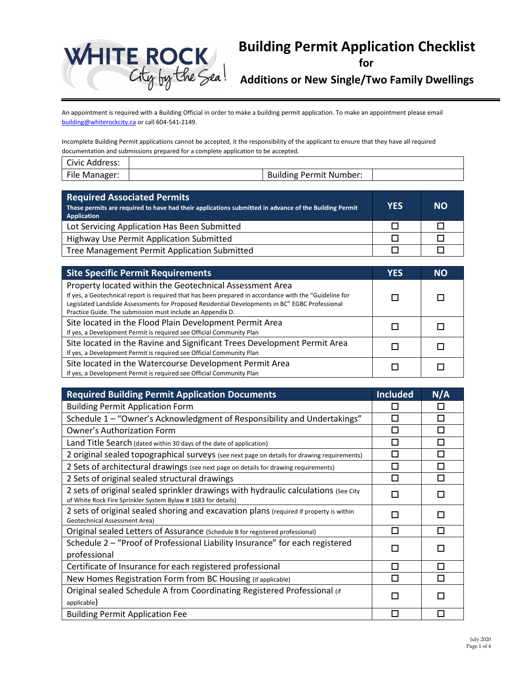

# **Building Permit Application Checklist**

**for**

**Additions or New Single/Two Family Dwellings**

An appointment is required with a Building Official in order to make a building permit application. To make an appointment please email [building@whiterockcity.ca](mailto:building@whiterockcity.ca) or call 604-541-2149.

Incomplete Building Permit applications cannot be accepted, it the responsibility of the applicant to ensure that they have all required documentation and submissions prepared for a complete application to be accepted.

| Civic Address: |                                |
|----------------|--------------------------------|
| File Manager:  | <b>Building Permit Number:</b> |

| <b>Required Associated Permits</b><br>These permits are required to have had their applications submitted in advance of the Building Permit<br><b>Application</b> |  | <b>NO</b> |
|-------------------------------------------------------------------------------------------------------------------------------------------------------------------|--|-----------|
| Lot Servicing Application Has Been Submitted                                                                                                                      |  |           |
| Highway Use Permit Application Submitted                                                                                                                          |  |           |
| Tree Management Permit Application Submitted                                                                                                                      |  |           |

| <b>Site Specific Permit Requirements</b>                                                                                                                                                                                                                                                                                            |  | <b>NO</b> |
|-------------------------------------------------------------------------------------------------------------------------------------------------------------------------------------------------------------------------------------------------------------------------------------------------------------------------------------|--|-----------|
| Property located within the Geotechnical Assessment Area<br>If yes, a Geotechnical report is required that has been prepared in accordance with the "Guideline for<br>Legislated Landslide Assessments for Proposed Residential Developments in BC" EGBC Professional<br>Practice Guide. The submission must include an Appendix D. |  |           |
| Site located in the Flood Plain Development Permit Area<br>If yes, a Development Permit is required see Official Community Plan                                                                                                                                                                                                     |  |           |
| Site located in the Ravine and Significant Trees Development Permit Area<br>If yes, a Development Permit is required see Official Community Plan                                                                                                                                                                                    |  |           |
| Site located in the Watercourse Development Permit Area<br>If yes, a Development Permit is required see Official Community Plan                                                                                                                                                                                                     |  |           |

| <b>Required Building Permit Application Documents</b>                                                                                               |   | N/A          |
|-----------------------------------------------------------------------------------------------------------------------------------------------------|---|--------------|
| <b>Building Permit Application Form</b>                                                                                                             |   | $\mathsf{L}$ |
| Schedule 1 - "Owner's Acknowledgment of Responsibility and Undertakings"                                                                            |   | П            |
| Owner's Authorization Form                                                                                                                          |   | □            |
| Land Title Search (dated within 30 days of the date of application)                                                                                 |   | П            |
| 2 original sealed topographical surveys (see next page on details for drawing requirements)                                                         |   | П            |
| 2 Sets of architectural drawings (see next page on details for drawing requirements)                                                                |   | п            |
| 2 Sets of original sealed structural drawings                                                                                                       | п | п            |
| 2 sets of original sealed sprinkler drawings with hydraulic calculations (See City<br>of White Rock Fire Sprinkler System Bylaw # 1683 for details) | п | П            |
| 2 sets of original sealed shoring and excavation plans (required if property is within<br>Geotechnical Assessment Area)                             |   | H            |
| Original sealed Letters of Assurance (Schedule B for registered professional)                                                                       |   | П            |
| Schedule 2 - "Proof of Professional Liability Insurance" for each registered<br>professional                                                        |   |              |
| Certificate of Insurance for each registered professional                                                                                           |   | П            |
| New Homes Registration Form from BC Housing (if applicable)                                                                                         |   | П            |
| Original sealed Schedule A from Coordinating Registered Professional (if<br>applicable)                                                             |   |              |
| <b>Building Permit Application Fee</b>                                                                                                              | П | П            |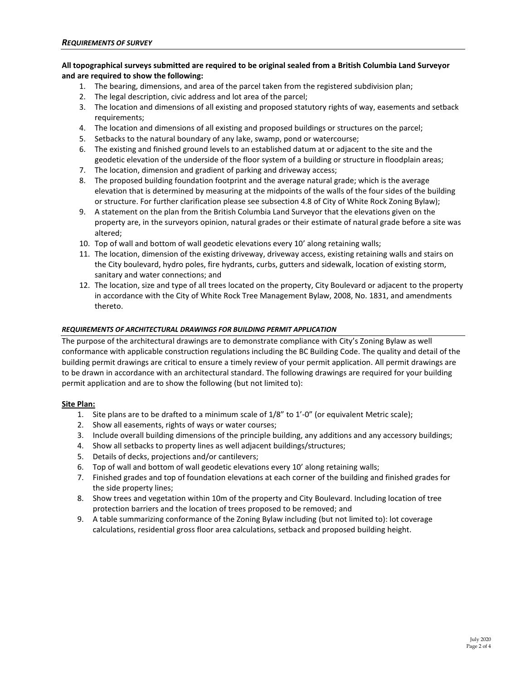### **All topographical surveys submitted are required to be original sealed from a British Columbia Land Surveyor and are required to show the following:**

- 1. The bearing, dimensions, and area of the parcel taken from the registered subdivision plan;
- 2. The legal description, civic address and lot area of the parcel;
- 3. The location and dimensions of all existing and proposed statutory rights of way, easements and setback requirements;
- 4. The location and dimensions of all existing and proposed buildings or structures on the parcel;
- 5. Setbacks to the natural boundary of any lake, swamp, pond or watercourse;
- 6. The existing and finished ground levels to an established datum at or adjacent to the site and the geodetic elevation of the underside of the floor system of a building or structure in floodplain areas;
- 7. The location, dimension and gradient of parking and driveway access;
- 8. The proposed building foundation footprint and the average natural grade; which is the average elevation that is determined by measuring at the midpoints of the walls of the four sides of the building or structure. For further clarification please see subsection 4.8 of City of White Rock Zoning Bylaw);
- 9. A statement on the plan from the British Columbia Land Surveyor that the elevations given on the property are, in the surveyors opinion, natural grades or their estimate of natural grade before a site was altered;
- 10. Top of wall and bottom of wall geodetic elevations every 10' along retaining walls;
- 11. The location, dimension of the existing driveway, driveway access, existing retaining walls and stairs on the City boulevard, hydro poles, fire hydrants, curbs, gutters and sidewalk, location of existing storm, sanitary and water connections; and
- 12. The location, size and type of all trees located on the property, City Boulevard or adjacent to the property in accordance with the City of White Rock Tree Management Bylaw, 2008, No. 1831, and amendments thereto.

#### *REQUIREMENTS OF ARCHITECTURAL DRAWINGS FOR BUILDING PERMIT APPLICATION*

The purpose of the architectural drawings are to demonstrate compliance with City's Zoning Bylaw as well conformance with applicable construction regulations including the BC Building Code. The quality and detail of the building permit drawings are critical to ensure a timely review of your permit application. All permit drawings are to be drawn in accordance with an architectural standard. The following drawings are required for your building permit application and are to show the following (but not limited to):

#### **Site Plan:**

- 1. Site plans are to be drafted to a minimum scale of 1/8" to 1'-0" (or equivalent Metric scale);
- 2. Show all easements, rights of ways or water courses;
- 3. Include overall building dimensions of the principle building, any additions and any accessory buildings;
- 4. Show all setbacks to property lines as well adjacent buildings/structures;
- 5. Details of decks, projections and/or cantilevers;
- 6. Top of wall and bottom of wall geodetic elevations every 10' along retaining walls;
- 7. Finished grades and top of foundation elevations at each corner of the building and finished grades for the side property lines;
- 8. Show trees and vegetation within 10m of the property and City Boulevard. Including location of tree protection barriers and the location of trees proposed to be removed; and
- 9. A table summarizing conformance of the Zoning Bylaw including (but not limited to): lot coverage calculations, residential gross floor area calculations, setback and proposed building height.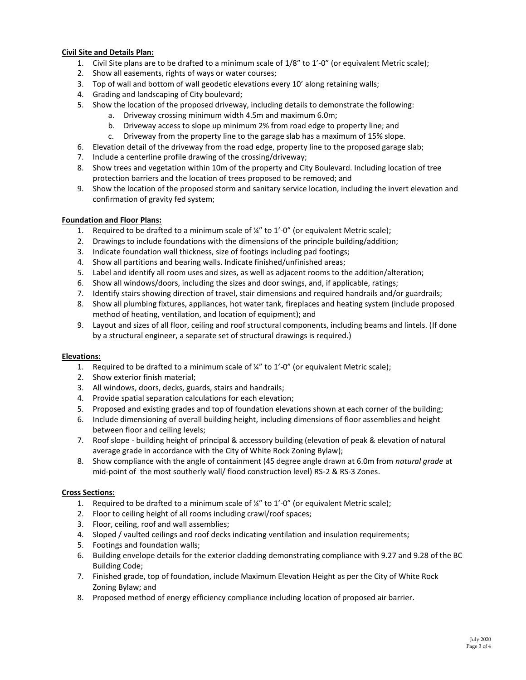## **Civil Site and Details Plan:**

- 1. Civil Site plans are to be drafted to a minimum scale of 1/8" to 1'-0" (or equivalent Metric scale);
- 2. Show all easements, rights of ways or water courses;
- 3. Top of wall and bottom of wall geodetic elevations every 10' along retaining walls;
- 4. Grading and landscaping of City boulevard;
- 5. Show the location of the proposed driveway, including details to demonstrate the following:
	- a. Driveway crossing minimum width 4.5m and maximum 6.0m;
	- b. Driveway access to slope up minimum 2% from road edge to property line; and
	- c. Driveway from the property line to the garage slab has a maximum of 15% slope.
- 6. Elevation detail of the driveway from the road edge, property line to the proposed garage slab;
- 7. Include a centerline profile drawing of the crossing/driveway;
- 8. Show trees and vegetation within 10m of the property and City Boulevard. Including location of tree protection barriers and the location of trees proposed to be removed; and
- 9. Show the location of the proposed storm and sanitary service location, including the invert elevation and confirmation of gravity fed system;

### **Foundation and Floor Plans:**

- 1. Required to be drafted to a minimum scale of  $\frac{1}{4}$ " to  $1'$ -0" (or equivalent Metric scale);
- 2. Drawings to include foundations with the dimensions of the principle building/addition;
- 3. Indicate foundation wall thickness, size of footings including pad footings;
- 4. Show all partitions and bearing walls. Indicate finished/unfinished areas;
- 5. Label and identify all room uses and sizes, as well as adjacent rooms to the addition/alteration;
- 6. Show all windows/doors, including the sizes and door swings, and, if applicable, ratings;
- 7. Identify stairs showing direction of travel, stair dimensions and required handrails and/or guardrails;
- 8. Show all plumbing fixtures, appliances, hot water tank, fireplaces and heating system (include proposed method of heating, ventilation, and location of equipment); and
- 9. Layout and sizes of all floor, ceiling and roof structural components, including beams and lintels. (If done by a structural engineer, a separate set of structural drawings is required.)

### **Elevations:**

- 1. Required to be drafted to a minimum scale of  $\frac{1}{4}$ " to 1'-0" (or equivalent Metric scale);
- 2. Show exterior finish material;
- 3. All windows, doors, decks, guards, stairs and handrails;
- 4. Provide spatial separation calculations for each elevation;
- 5. Proposed and existing grades and top of foundation elevations shown at each corner of the building;
- 6. Include dimensioning of overall building height, including dimensions of floor assemblies and height between floor and ceiling levels;
- 7. Roof slope building height of principal & accessory building (elevation of peak & elevation of natural average grade in accordance with the City of White Rock Zoning Bylaw);
- 8. Show compliance with the angle of containment (45 degree angle drawn at 6.0m from *natural grade* at mid-point of the most southerly wall/ flood construction level) RS-2 & RS-3 Zones.

### **Cross Sections:**

- 1. Required to be drafted to a minimum scale of  $\frac{1}{4}$ " to 1'-0" (or equivalent Metric scale);
- 2. Floor to ceiling height of all rooms including crawl/roof spaces;
- 3. Floor, ceiling, roof and wall assemblies;
- 4. Sloped / vaulted ceilings and roof decks indicating ventilation and insulation requirements;
- 5. Footings and foundation walls;
- 6. Building envelope details for the exterior cladding demonstrating compliance with 9.27 and 9.28 of the BC Building Code;
- 7. Finished grade, top of foundation, include Maximum Elevation Height as per the City of White Rock Zoning Bylaw; and
- 8. Proposed method of energy efficiency compliance including location of proposed air barrier.